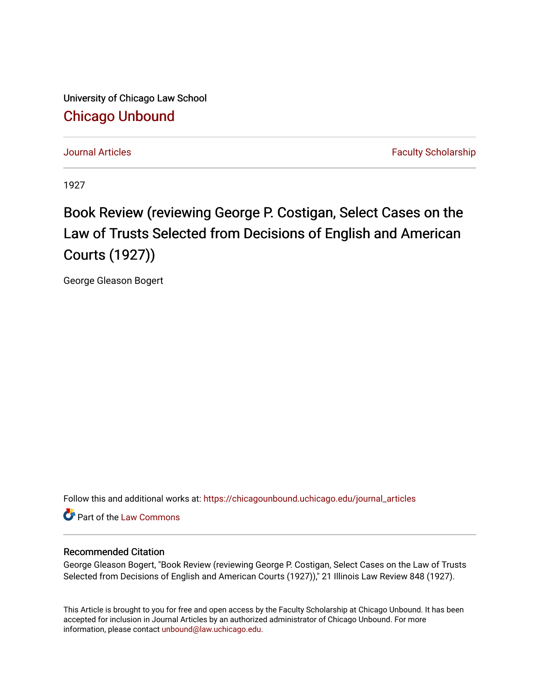University of Chicago Law School [Chicago Unbound](https://chicagounbound.uchicago.edu/)

[Journal Articles](https://chicagounbound.uchicago.edu/journal_articles) **Faculty Scholarship Journal Articles** 

1927

## Book Review (reviewing George P. Costigan, Select Cases on the Law of Trusts Selected from Decisions of English and American Courts (1927))

George Gleason Bogert

Follow this and additional works at: [https://chicagounbound.uchicago.edu/journal\\_articles](https://chicagounbound.uchicago.edu/journal_articles?utm_source=chicagounbound.uchicago.edu%2Fjournal_articles%2F8927&utm_medium=PDF&utm_campaign=PDFCoverPages) 

Part of the [Law Commons](http://network.bepress.com/hgg/discipline/578?utm_source=chicagounbound.uchicago.edu%2Fjournal_articles%2F8927&utm_medium=PDF&utm_campaign=PDFCoverPages)

## Recommended Citation

George Gleason Bogert, "Book Review (reviewing George P. Costigan, Select Cases on the Law of Trusts Selected from Decisions of English and American Courts (1927))," 21 Illinois Law Review 848 (1927).

This Article is brought to you for free and open access by the Faculty Scholarship at Chicago Unbound. It has been accepted for inclusion in Journal Articles by an authorized administrator of Chicago Unbound. For more information, please contact [unbound@law.uchicago.edu](mailto:unbound@law.uchicago.edu).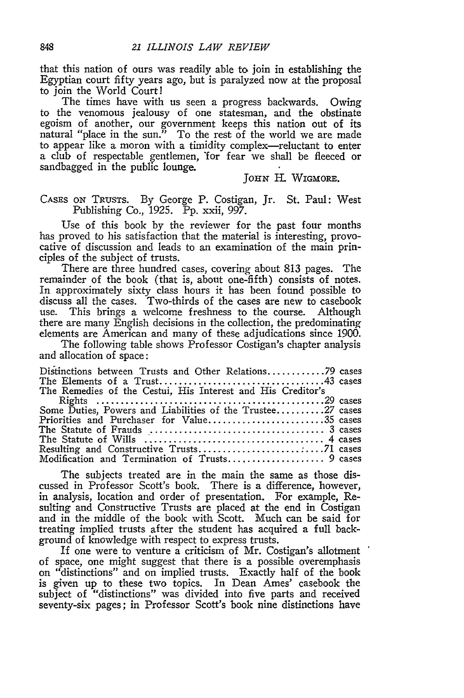that this nation of ours was readily able to join in establishing the Egyptian court fifty years ago, but is paralyzed now at the proposal to join the World Court!

The times have with us seen a progress backwards. Owing to the venomous jealousy of one statesman, and the obstinate egoism of another, our government keeps this nation out of its natural "place in the sun." To the rest of the world we are made to appear like a moron with a timidity complex-reluctant to enter a club of respectable gentlemen, 'for fear we shall be fleeced or sandbagged in the public lounge.

**JOHN** H. WIGMORE.

## CASES ON TRUSTS. By George P. Costigan, Jr. St. Paul: West Publishing Co., 1925. Pp. xxii, 997.

Use of this book by the reviewer for the past four months has proved to his satisfaction that the material is interesting, provocative of discussion and leads to an examination of the main principles of the subject of trusts.

There are three hundred cases, covering about 813 pages. The remainder of the book (that is, about one-fifth) consists of notes. In approximately sixty class hours it has been found possible to discuss all the cases. Two-thirds of the cases are new to casebook use. This brings a welcome freshness to the course. Although there are many English decisions in the collection, the predominating elements are American and many of these adjudications since 1900.

The following table shows Professor Costigan's chapter analysis and allocation of space:

| Distinctions between Trusts and Other Relations79 cases     |  |
|-------------------------------------------------------------|--|
| The Remedies of the Cestui, His Interest and His Creditor's |  |
|                                                             |  |
|                                                             |  |
| Some Duties, Powers and Liabilities of the Trustee27 cases  |  |
| Priorities and Purchaser for Value35 cases                  |  |
|                                                             |  |
|                                                             |  |
|                                                             |  |
| Modification and Termination of Trusts 9 cases              |  |

The subjects treated are in the main the same as those discussed in Professor Scott's book. There is a difference, however, in analysis, location and order of presentation. For example, Resulting and Constructive Trusts are placed at the end in Costigan and in the middle of the book with Scott. Much can be said for treating implied trusts after the student has acquired a full background of knowledge with respect to express trusts.

If one were to venture a criticism of Mr. Costigan's allotment of space, one might suggest that there is a possible overemphasis on "distinctions" and on implied trusts. Exactly half of the book is given up to these two topics. In Dean Ames' casebook the subject of "distinctions" was divided into five parts and received seventy-six pages; in Professor Scott's book nine distinctions have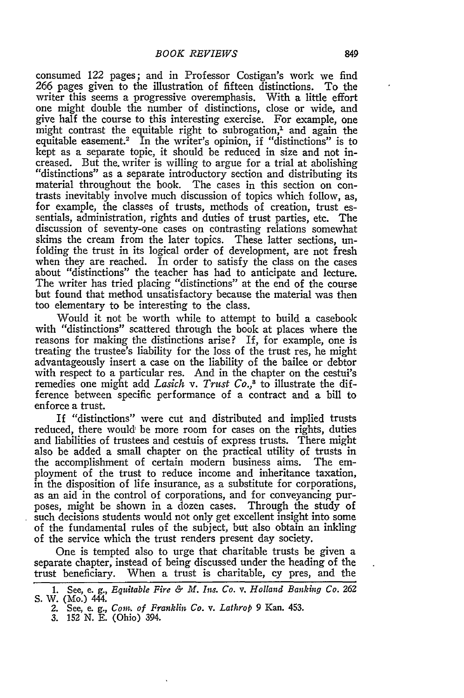consumed 122 pages; and in Professor Costigan's work we find *266* pages given to the illustration of fifteen distinctions. To the writer this seems a progressive overemphasis. With a little effort one might double the number of distinctions, close or wide, and give half the course to this interesting exercise. For example, one might contrast the equitable right to subrogation, $<sup>1</sup>$  and again the</sup> equitable easement.<sup>2</sup> In the writer's opinion, if "distinctions" is to kept as a separate topic, it should be reduced in size and not increased. But the. writer is willing to argue for a trial at abolishing "distinctions" as a separate introductory section and distributing its material throughout the book. The cases in this section on contrasts inevitably involve much discussion of topics which follow, as, for example, the classes of trusts, methods of creation, trust essentials, administration, rights and duties of trust parties, etc. The discussion of seventy-one cases on contrasting relations somewhat skims the cream from the later topics. These latter sections, unfolding the trust in its logical order of development, are not fresh when they are reached. In order to satisfy the class on the cases about "distinctions" the teacher has had to anticipate and lecture. The writer has tried placing "distinctions" at the end of the course but found that method unsatisfactory because the material was then too elementary to be interesting to the class.

Would it not be worth while to attempt to build a casebook with "distinctions" scattered through the book at places where the reasons for making the distinctions arise? If, for example, one is treating the trustee's liability for the loss of the trust res, he might advantageously insert a case on the liability of the bailee or debtor with respect to a particular res. And in the chapter on the cestui's remedies one might add *Lasich v. Trust Co.*,<sup>3</sup> to illustrate the difference between specific performance of a contract and a bill to enforce a trust.

If "distinctions" were cut and distributed and implied trusts reduced, there would be more room for cases on the rights, duties and liabilities of trustees and cestuis of express trusts. There might also be added a small chapter on the practical utility of trusts in the accomplishment of certain modern business aims. The employment of the trust to reduce income and inheritance taxation, in the disposition of life insurance, as a substitute for corporations, as an aid in the control of corporations, and for conveyancing purposes, might be shown in a dozen cases. Through the study of such decisions students would not only get excellent insight into some of the fundamental rules of the subject, but also obtain an inkling of the service which the trust renders present day society.

One is tempted also to urge that charitable trusts be given a separate chapter, instead of being discussed under the heading of the trust beneficiary. When a trust is charitable, cy pres, and the

**<sup>1.</sup>** See, e. *g., Equitable Fire & M. Ins. Co. v. Holland Banking Co.* **<sup>262</sup>** S. *W.* (Mo.) 444.

<sup>2.</sup> See, e. *g., Cont. of Franklin Co. v. Lathrop* 9 Kan. 453.

<sup>3. 152</sup> N. E. (Ohio) 394.